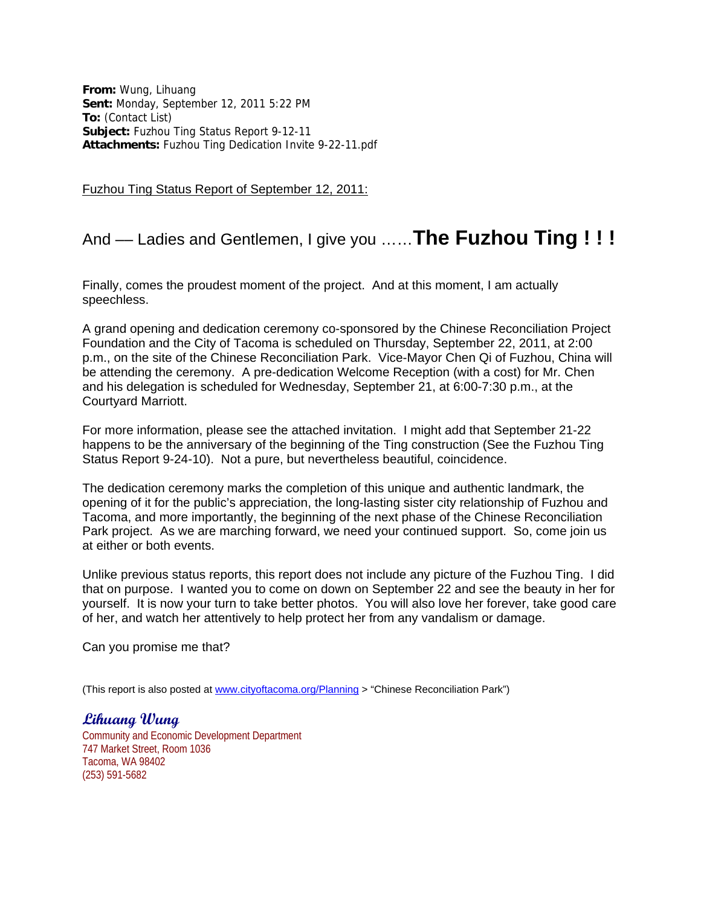**From:** Wung, Lihuang **Sent:** Monday, September 12, 2011 5:22 PM **To:** (Contact List) **Subject:** Fuzhou Ting Status Report 9-12-11 **Attachments:** Fuzhou Ting Dedication Invite 9-22-11.pdf

Fuzhou Ting Status Report of September 12, 2011:

## And –– Ladies and Gentlemen, I give you ……**The Fuzhou Ting ! ! !**

Finally, comes the proudest moment of the project. And at this moment, I am actually speechless.

A grand opening and dedication ceremony co-sponsored by the Chinese Reconciliation Project Foundation and the City of Tacoma is scheduled on Thursday, September 22, 2011, at 2:00 p.m., on the site of the Chinese Reconciliation Park. Vice-Mayor Chen Qi of Fuzhou, China will be attending the ceremony. A pre-dedication Welcome Reception (with a cost) for Mr. Chen and his delegation is scheduled for Wednesday, September 21, at 6:00-7:30 p.m., at the Courtyard Marriott.

For more information, please see the attached invitation. I might add that September 21-22 happens to be the anniversary of the beginning of the Ting construction (See the Fuzhou Ting Status Report 9-24-10). Not a pure, but nevertheless beautiful, coincidence.

The dedication ceremony marks the completion of this unique and authentic landmark, the opening of it for the public's appreciation, the long-lasting sister city relationship of Fuzhou and Tacoma, and more importantly, the beginning of the next phase of the Chinese Reconciliation Park project. As we are marching forward, we need your continued support. So, come join us at either or both events.

Unlike previous status reports, this report does not include any picture of the Fuzhou Ting. I did that on purpose. I wanted you to come on down on September 22 and see the beauty in her for yourself. It is now your turn to take better photos. You will also love her forever, take good care of her, and watch her attentively to help protect her from any vandalism or damage.

Can you promise me that?

(This report is also posted at [www.cityoftacoma.org/Planning](http://www.cityoftacoma.org/Planning) > "Chinese Reconciliation Park")

**Lihuang Wung** Community and Economic Development Department 747 Market Street, Room 1036 Tacoma, WA 98402 (253) 591-5682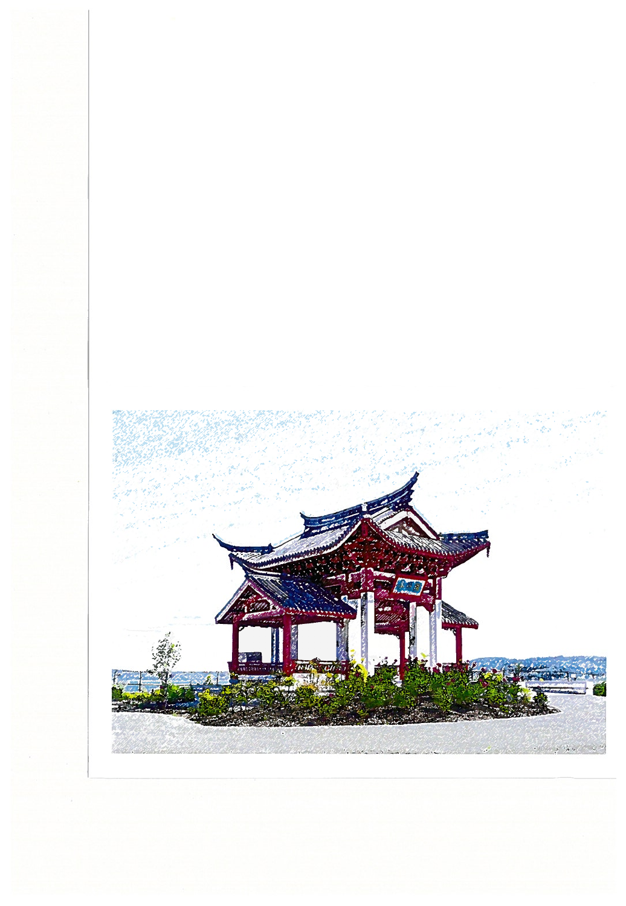